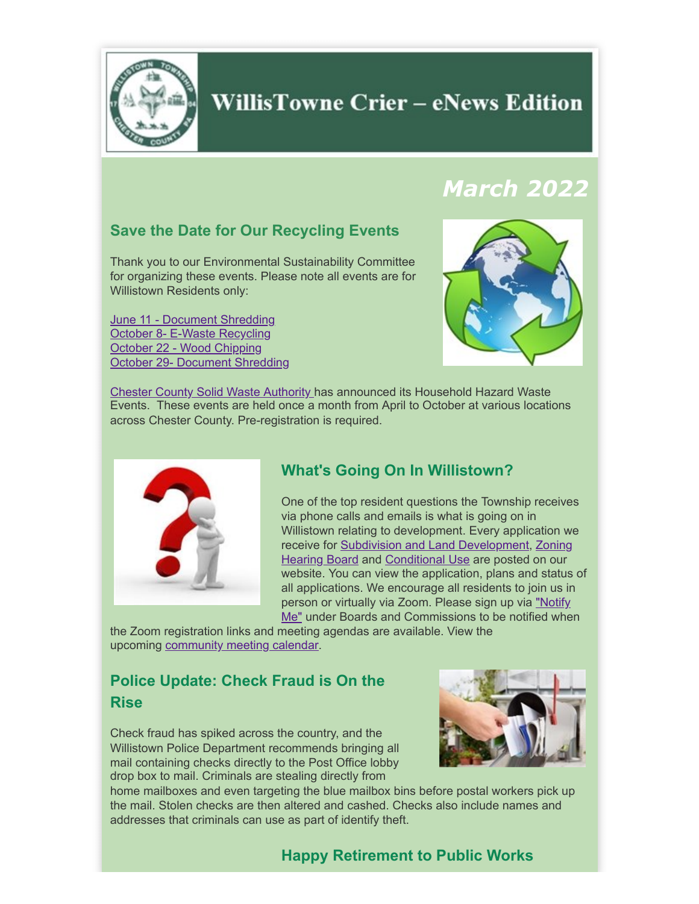

### **WillisTowne Crier – eNews Edition**

## *March 2022*

### **Save the Date for Our Recycling Events**

Thank you to our Environmental Sustainability Committee for organizing these events. Please note all events are for Willistown Residents only:

[June 11 - Document Shredding](https://www.willistown.pa.us/calendar.aspx?EID=1302) [October 8- E-Waste Recycling](https://www.willistown.pa.us/calendar.aspx?EID=1303) [October 22 - Wood Chipping](https://www.willistown.pa.us/calendar.aspx?EID=1308) [October 29-](https://www.willistown.pa.us/calendar.aspx?EID=1309) [Document](http://www.willistown.pa.us/calendar.aspx?EID=1309) Shredding



[Chester County Solid Waste Authority](https://www.chestercountyswa.org/121/Upcoming-Household-Hazardous-Waste-Event) has announced its Household Hazard Waste Events. These events are held once a month from April to October at various locations across Chester County. Pre-registration is required.



### **What's Going On In Willistown?**

One of the top resident questions the Township receives via phone calls and emails is what is going on in Willistown relating to development. Every application we [receive for](https://www.willistown.pa.us/266/Active-Conditional-Use-Zoning-Apps) [Subdivision and Land Developmen](https://www.willistown.pa.us/265/Active-Sub-Division-Land-Development-App)[t, Zoning](https://www.willistown.pa.us/266/Active-Conditional-Use-Zoning-Apps) **Hearing Board and [Conditional Use](https://www.willistown.pa.us/266/Active-Conditional-Use-Zoning-Apps) are posted on our** website. You can view the application, plans and status of all applications. We encourage all residents to join us in person or virtually via Zoom. Please sign up via "Notify Me" [under Boards and Commissions to be notified whe](https://www.willistown.pa.us/list.aspx)n

the Zoom registration links and meeting agendas are available. View the upcoming [community meeting calendar.](https://www.willistown.pa.us/calendar.aspx?CID=26,14,22,)

### **Police Update: Check Fraud is On the Rise**

Check fraud has spiked across the country, and the Willistown Police Department recommends bringing all mail containing checks directly to the Post Office lobby drop box to mail. Criminals are stealing directly from



home mailboxes and even targeting the blue mailbox bins before postal workers pick up the mail. Stolen checks are then altered and cashed. Checks also include names and addresses that criminals can use as part of identify theft.

### **Happy Retirement to Public Works**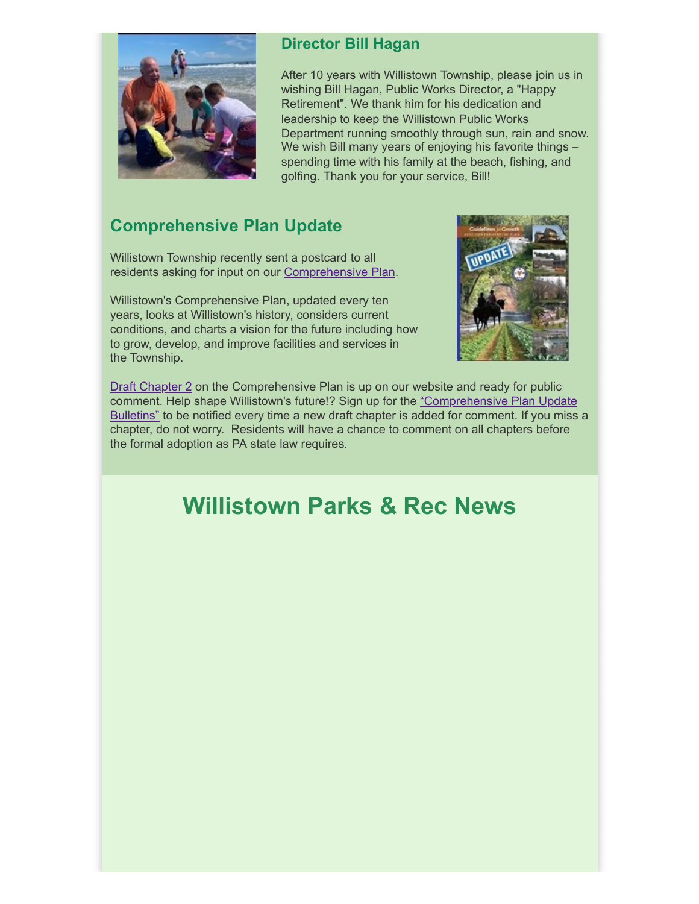

### **Director Bill Hagan**

After 10 years with Willistown Township, please join us in wishing Bill Hagan, Public Works Director, a "Happy Retirement". We thank him for his dedication and leadership to keep the Willistown Public Works Department running smoothly through sun, rain and snow. We wish Bill many years of enjoying his favorite things – spending time with his family at the beach, fishing, and golfing. Thank you for your service, Bill!

### **Comprehensive Plan Update**

Willistown Township recently sent a postcard to all residents asking for input on our [Comprehensive Plan](https://www.willistown.pa.us/DocumentCenter/View/16/Guidelines-for-Growth?bidId=).

Willistown's Comprehensive Plan, updated every ten years, looks at Willistown's history, considers current conditions, and charts a vision for the future including how to grow, develop, and improve facilities and services in the Township.



[Draft Chapter 2](https://www.willistown.pa.us/325/Comprehensive-Plan-Draft-Chapters) on the Comprehensive Plan is up on our website and ready for public comment. Help shape Willistown's future!? Sign up for the "Comprehensive Plan Update [Bulletins" to be notified every time a new draft chapter is added for comment. If you miss](https://www.willistown.pa.us/list.aspx) a chapter, do not worry. Residents will have a chance to comment on all chapters before the formal adoption as PA state law requires.

## **Willistown Parks & Rec News**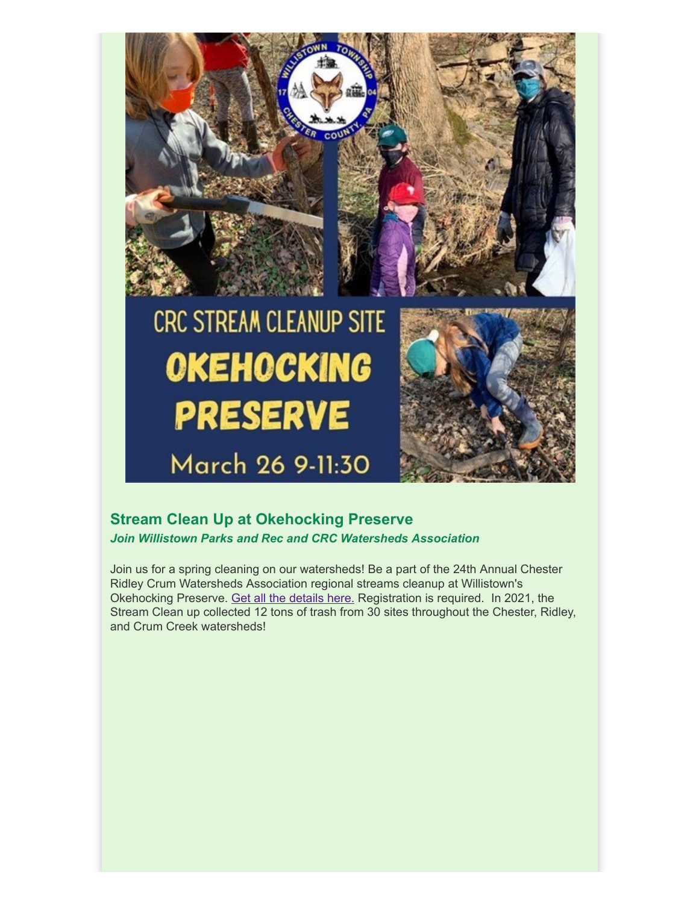

# **CRC STREAM CLEANUP SITE OKEHOCKING PRESERVE** March 26 9-11:30



### **Stream Clean Up at Okehocking Preserve** *Join Willistown Parks and Rec and CRC Watersheds Association*

Join us for a spring cleaning on our watersheds! Be a part of the 24th Annual Chester Ridley Crum Watersheds Association regional streams cleanup at Willistown's Okehocking Preserve. [Get all the details here.](https://www.willistown.pa.us/327/CRC-Streams-Cleanup) Registration is required. In 2021, the Stream Clean up collected 12 tons of trash from 30 sites throughout the Chester, Ridley, and Crum Creek watersheds!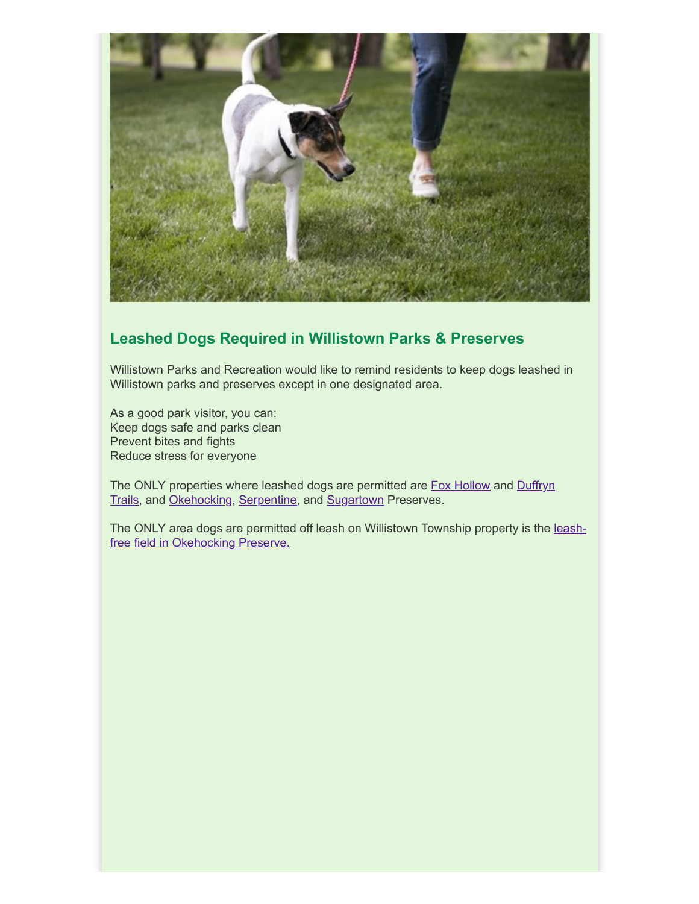

### **Leashed Dogs Required in Willistown Parks & Preserves**

Willistown Parks and Recreation would like to remind residents to keep dogs leashed in Willistown parks and preserves except in one designated area.

As a good park visitor, you can: Keep dogs safe and parks clean Prevent bites and fights Reduce stress for everyone

[The ONLY properties where leashed dogs are permitted are F](https://www.willistown.pa.us/Facilities/Facility/Details/Duffryn-Trail-16)[ox Hollow](https://www.willistown.pa.us/Facilities/Facility/Details/Fox-Hollow-Trail-14) [and Duffryn](https://www.willistown.pa.us/Facilities/Facility/Details/Duffryn-Trail-16) Trails, and [Okehocking,](https://www.willistown.pa.us/Facilities/Facility/Details/Okehocking-Preserve-6) [Serpentine](https://www.willistown.pa.us/Facilities/Facility/Details/Serpentine-Preserve-12), and [Sugartown](https://www.willistown.pa.us/Facilities/Facility/Details/Sugartown-Preserve-7) Preserves.

[The ONLY area dogs are permitted off leash on Willistown Township property is the leash](https://www.willistown.pa.us/DocumentCenter/View/255/OkehockingRecreationMap7-10-19?bidId&fbclid=IwAR3zgpDmisdZ2VG52At1865zbaU1Azs6eOuKCTaELLQKB0rp9hIyN_7r0yw)free field in Okehocking Preserve.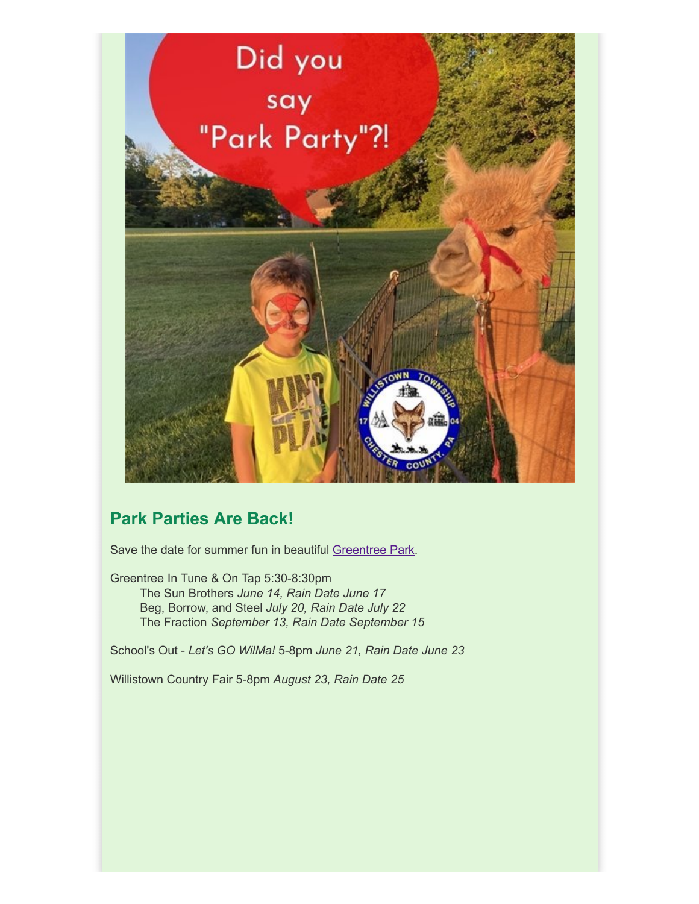

### **Park Parties Are Back!**

Save the date for summer fun in beautiful [Greentree Park.](https://www.willistown.pa.us/Facilities/Facility/Details/Greentree-Park-2)

Greentree In Tune & On Tap 5:30-8:30pm The Sun Brothers *June 14, Rain Date June 17* Beg, Borrow, and Steel *July 20, Rain Date July 22* The Fraction *September 13, Rain Date September 15*

School's Out - *Let's GO WilMa!* 5-8pm *June 21, Rain Date June 23*

Willistown Country Fair 5-8pm *August 23, Rain Date 25*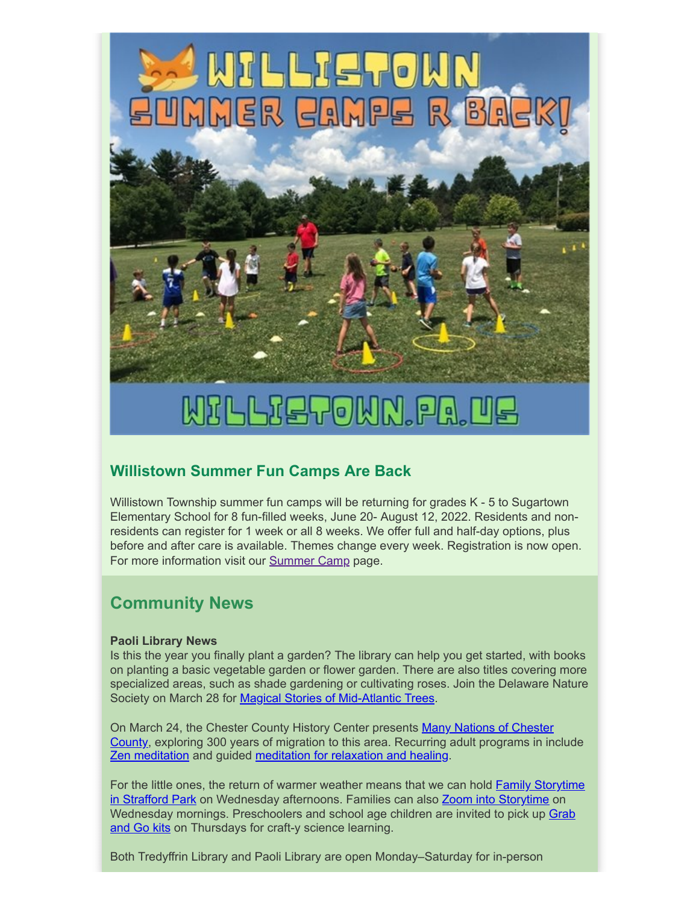

## WILLIETOWN.PA.UE

### **Willistown Summer Fun Camps Are Back**

Willistown Township summer fun camps will be returning for grades K - 5 to Sugartown Elementary School for 8 fun-filled weeks, June 20- August 12, 2022. Residents and nonresidents can register for 1 week or all 8 weeks. We offer full and half-day options, plus before and after care is available. Themes change every week. Registration is now open. For more information visit our [Summer Camp](https://www.willistown.pa.us/264/Camps) page.

### **Community News**

### **Paoli Library News**

Is this the year you finally plant a garden? The library can help you get started, with books on planting a basic vegetable garden or flower garden. There are also titles covering more specialized areas, such as shade gardening or cultivating roses. Join the Delaware Nature Society on March 28 for [Magical Stories of Mid-Atlantic Trees.](https://ccls.libcal.com/event/8805974)

[On March 24, the Chester County History Center presents Many Nations of Chester](https://ccls.libcal.com/event/8884415) County, exploring 300 years of migration to this area. Recurring adult programs in include **Zen meditation** and guided [meditation for relaxation and healing](https://ccls.libcal.com/event/8699210).

For the little ones, the return of warmer weather means that we can hold **Family Storytime** in Strafford Park on Wednesday afternoons. Families can also [Zoom into Storytime](https://ccls.libcal.com/event/8901794) on [Wednesday mornings. Preschoolers and school age children are invited to pick up Grab](https://ccls.libcal.com/event/8906939) and Go kits on Thursdays for craft-y science learning.

Both Tredyffrin Library and Paoli Library are open Monday–Saturday for in-person